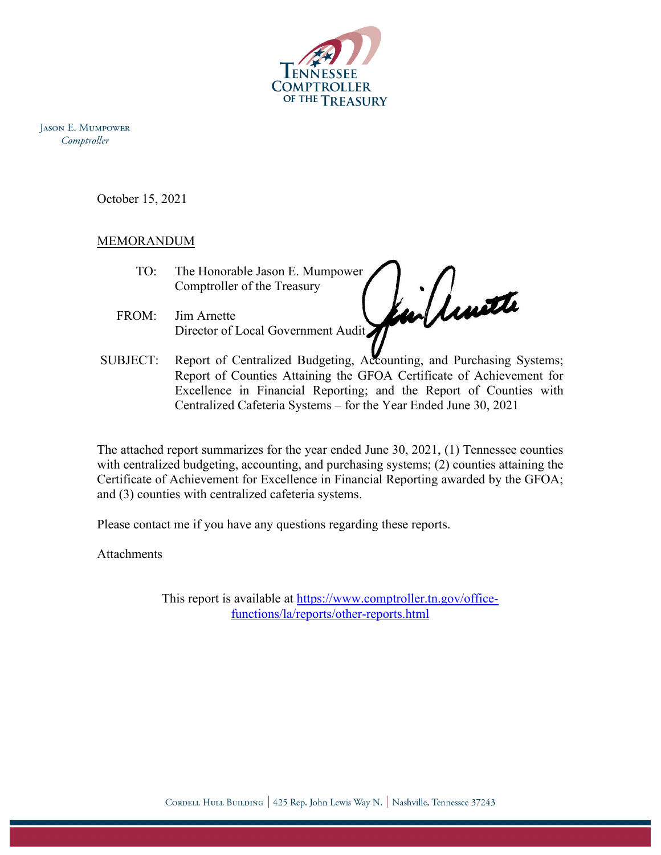

**JASON E. MUMPOWER** Comptroller

October 15, 2021

# MEMORANDUM

- TO: The Honorable Jason E. Mumpower Comptroller of the Treasury
- FROM: Jim Arnette Director of Local Government Audit.
- SUBJECT: Report of Centralized Budgeting, Accounting, and Purchasing Systems;<br>Report of Counties Attaining the GFOA Certificate of Achievement for Report of Counties Attaining the GFOA Certificate of Achievement for Excellence in Financial Reporting; and the Report of Counties with Centralized Cafeteria Systems – for the Year Ended June 30, 2021

The attached report summarizes for the year ended June 30, 2021, (1) Tennessee counties with centralized budgeting, accounting, and purchasing systems; (2) counties attaining the Certificate of Achievement for Excellence in Financial Reporting awarded by the GFOA; and (3) counties with centralized cafeteria systems.

Please contact me if you have any questions regarding these reports.

Attachments

This report is available at [https://www.comptroller.tn.gov/office](https://www.comptroller.tn.gov/office-functions/la/reports/other-reports.html)[functions/la/reports/other-reports.html](https://www.comptroller.tn.gov/office-functions/la/reports/other-reports.html)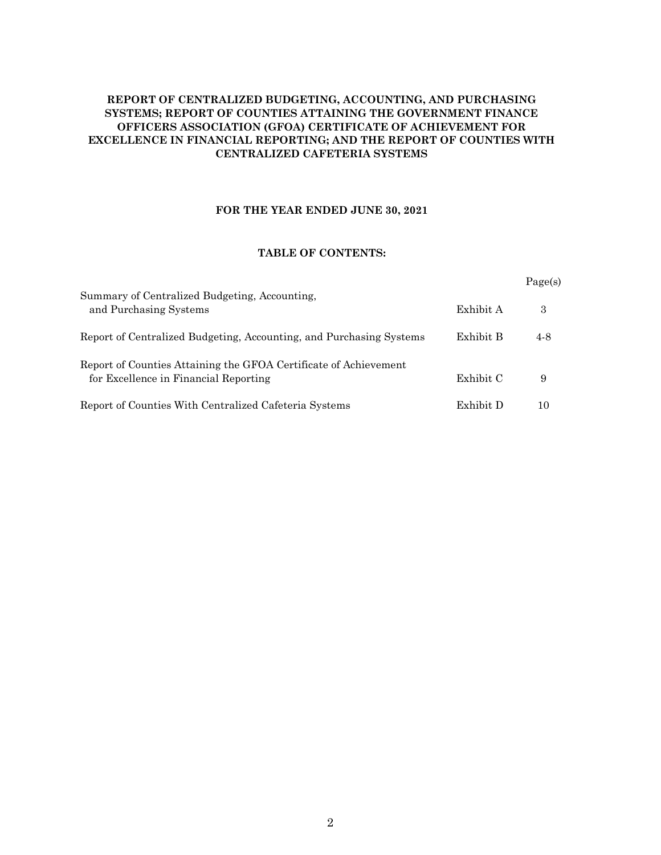### **REPORT OF CENTRALIZED BUDGETING, ACCOUNTING, AND PURCHASING SYSTEMS; REPORT OF COUNTIES ATTAINING THE GOVERNMENT FINANCE OFFICERS ASSOCIATION (GFOA) CERTIFICATE OF ACHIEVEMENT FOR EXCELLENCE IN FINANCIAL REPORTING; AND THE REPORT OF COUNTIES WITH CENTRALIZED CAFETERIA SYSTEMS**

#### **FOR THE YEAR ENDED JUNE 30, 2021**

#### **TABLE OF CONTENTS:**

|                                                                                                           |           | Page(s) |
|-----------------------------------------------------------------------------------------------------------|-----------|---------|
| Summary of Centralized Budgeting, Accounting,<br>and Purchasing Systems                                   | Exhibit A | 3       |
| Report of Centralized Budgeting, Accounting, and Purchasing Systems                                       | Exhibit B | 4-8     |
| Report of Counties Attaining the GFOA Certificate of Achievement<br>for Excellence in Financial Reporting | Exhibit C | 9       |
| Report of Counties With Centralized Cafeteria Systems                                                     | Exhibit D | 10      |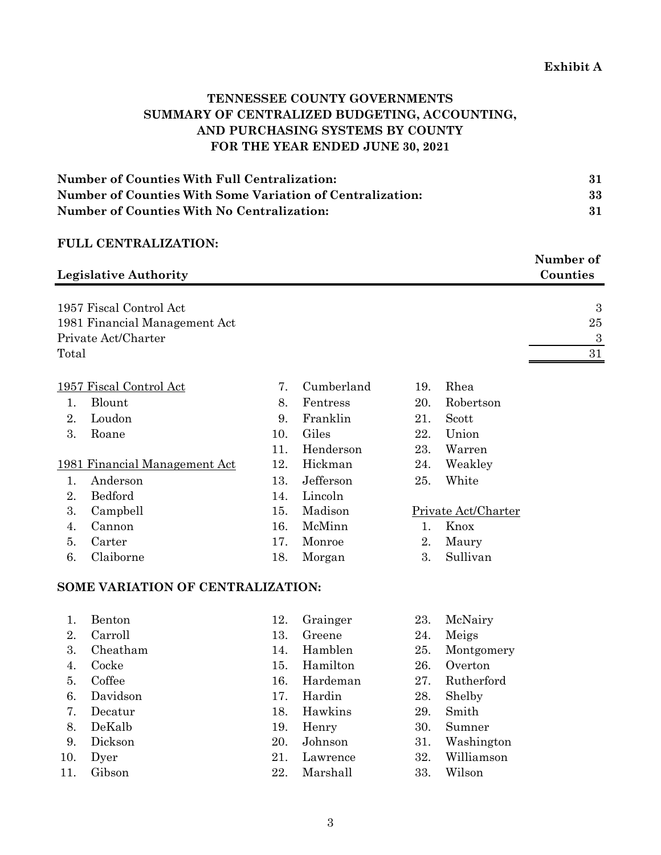# **TENNESSEE COUNTY GOVERNMENTS SUMMARY OF CENTRALIZED BUDGETING, ACCOUNTING, AND PURCHASING SYSTEMS BY COUNTY FOR THE YEAR ENDED JUNE 30, 2021**

| <b>Number of Counties With Full Centralization:</b>       |    |
|-----------------------------------------------------------|----|
| Number of Counties With Some Variation of Centralization: | 33 |
| <b>Number of Counties With No Centralization:</b>         | 31 |

## **FULL CENTRALIZATION:**

| <b>Legislative Authority</b>  |     |            |     |           | Number of<br>Counties |
|-------------------------------|-----|------------|-----|-----------|-----------------------|
| 1957 Fiscal Control Act       |     |            |     |           | 3                     |
| 1981 Financial Management Act |     |            |     |           | 25                    |
| Private Act/Charter           |     |            |     |           | 3                     |
| Total                         |     |            |     |           | 31                    |
|                               |     |            |     |           |                       |
| 1957 Fiscal Control Act       | 7.  | Cumberland | 19. | Rhea      |                       |
| Blount                        | 8.  | Fentress   | 20. | Robertson |                       |
| Loudon<br>2.                  | 9.  | Franklin   | 21. | Scott     |                       |
| 3.<br>Roane                   | 10. | Giles      | 22. | Union     |                       |
|                               | 11. | Henderson  | 23. | Warren    |                       |
| 1981 Financial Management Act | 12. | Hickman    | 24. | Weakley   |                       |

| 1. Anderson |  | Jefferson | White |
|-------------|--|-----------|-------|

- 2. Bedford 14. Lincoln
- 3. Campbell 15. Madison Private Act/Charter
- 4. Cannon 16. McMinn 1. Knox
- 5. Carter 17. Monroe 2. Maury
- 6. Claiborne 18. Morgan 3. Sullivan

# **SOME VARIATION OF CENTRALIZATION:**

- 
- 
- 
- 
- 
- 
- 
- 
- 
- 
- 
- 
- 2. Carroll 13. Greene 24. Meigs
	-
- 4. Cocke 15. Hamilton 26. Overton
	-
- 6. Davidson 17. Hardin 28. Shelby
- 7. Decatur 18. Hawkins 29. Smith
	-
	-
	-
- 11. Gibson 22. Marshall 33. Wilson
- 1. Benton 12. Grainger 23. McNairy
	-
- 3. Cheatham 14. Hamblen 25. Montgomery
	-
- 5. Coffee 16. Hardeman 27. Rutherford
	-
	-
- 8. DeKalb 19. Henry 30. Sumner
- 9. Dickson 20. Johnson 31. Washington
- 10. Dyer 21. Lawrence 32. Williamson
	-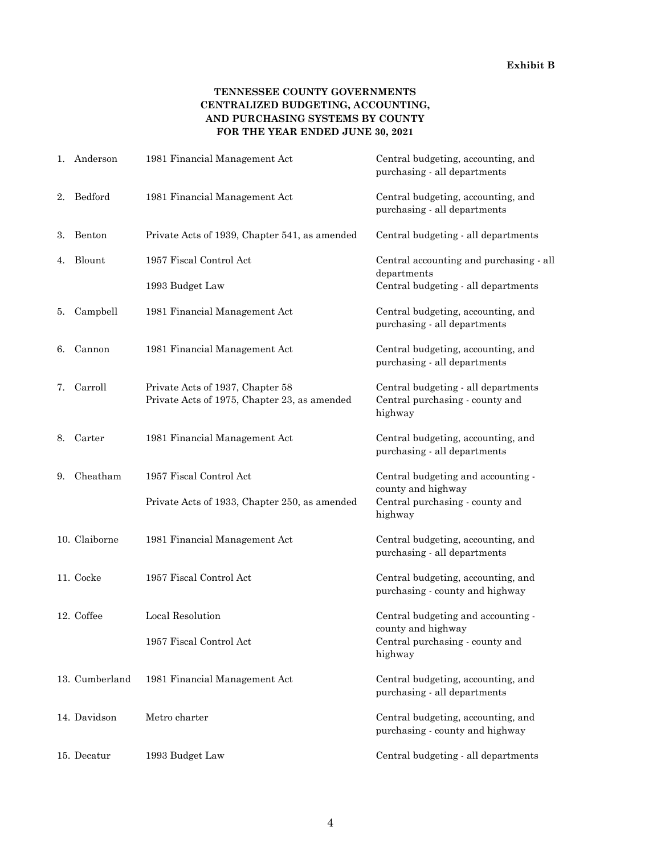### **TENNESSEE COUNTY GOVERNMENTS CENTRALIZED BUDGETING, ACCOUNTING, AND PURCHASING SYSTEMS BY COUNTY FOR THE YEAR ENDED JUNE 30, 2021**

| 1. | Anderson       | 1981 Financial Management Act                                                    | Central budgeting, accounting, and<br>purchasing - all departments                |
|----|----------------|----------------------------------------------------------------------------------|-----------------------------------------------------------------------------------|
| 2. | Bedford        | 1981 Financial Management Act                                                    | Central budgeting, accounting, and<br>purchasing - all departments                |
| 3. | Benton         | Private Acts of 1939, Chapter 541, as amended                                    | Central budgeting - all departments                                               |
| 4. | Blount         | 1957 Fiscal Control Act                                                          | Central accounting and purchasing - all<br>departments                            |
|    |                | 1993 Budget Law                                                                  | Central budgeting - all departments                                               |
| 5. | Campbell       | 1981 Financial Management Act                                                    | Central budgeting, accounting, and<br>purchasing - all departments                |
| 6. | Cannon         | 1981 Financial Management Act                                                    | Central budgeting, accounting, and<br>purchasing - all departments                |
| 7. | Carroll        | Private Acts of 1937, Chapter 58<br>Private Acts of 1975, Chapter 23, as amended | Central budgeting - all departments<br>Central purchasing - county and<br>highway |
| 8. | Carter         | 1981 Financial Management Act                                                    | Central budgeting, accounting, and<br>purchasing - all departments                |
| 9. | Cheatham       | 1957 Fiscal Control Act                                                          | Central budgeting and accounting -<br>county and highway                          |
|    |                | Private Acts of 1933, Chapter 250, as amended                                    | Central purchasing - county and<br>highway                                        |
|    | 10. Claiborne  | 1981 Financial Management Act                                                    | Central budgeting, accounting, and<br>purchasing - all departments                |
|    | 11. Cocke      | 1957 Fiscal Control Act                                                          | Central budgeting, accounting, and<br>purchasing - county and highway             |
|    | 12. Coffee     | Local Resolution                                                                 | Central budgeting and accounting -<br>county and highway                          |
|    |                | 1957 Fiscal Control Act                                                          | Central purchasing - county and<br>highway                                        |
|    | 13. Cumberland | 1981 Financial Management Act                                                    | Central budgeting, accounting, and<br>purchasing - all departments                |
|    | 14. Davidson   | Metro charter                                                                    | Central budgeting, accounting, and<br>purchasing - county and highway             |
|    | 15. Decatur    | 1993 Budget Law                                                                  | Central budgeting - all departments                                               |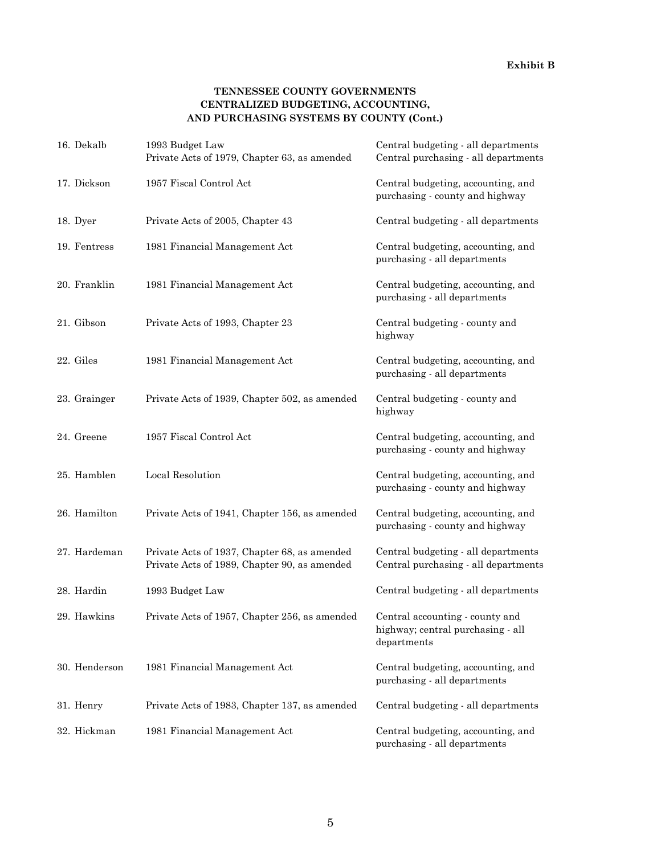### **TENNESSEE COUNTY GOVERNMENTS CENTRALIZED BUDGETING, ACCOUNTING, AND PURCHASING SYSTEMS BY COUNTY (Cont.)**

| 16. Dekalb    | 1993 Budget Law<br>Private Acts of 1979, Chapter 63, as amended                              | Central budgeting - all departments<br>Central purchasing - all departments         |
|---------------|----------------------------------------------------------------------------------------------|-------------------------------------------------------------------------------------|
| 17. Dickson   | 1957 Fiscal Control Act                                                                      | Central budgeting, accounting, and<br>purchasing - county and highway               |
| 18. Dyer      | Private Acts of 2005, Chapter 43                                                             | Central budgeting - all departments                                                 |
| 19. Fentress  | 1981 Financial Management Act                                                                | Central budgeting, accounting, and<br>purchasing - all departments                  |
| 20. Franklin  | 1981 Financial Management Act                                                                | Central budgeting, accounting, and<br>purchasing - all departments                  |
| 21. Gibson    | Private Acts of 1993, Chapter 23                                                             | Central budgeting - county and<br>highway                                           |
| 22. Giles     | 1981 Financial Management Act                                                                | Central budgeting, accounting, and<br>purchasing - all departments                  |
| 23. Grainger  | Private Acts of 1939, Chapter 502, as amended                                                | Central budgeting - county and<br>highway                                           |
| 24. Greene    | 1957 Fiscal Control Act                                                                      | Central budgeting, accounting, and<br>purchasing - county and highway               |
| 25. Hamblen   | Local Resolution                                                                             | Central budgeting, accounting, and<br>purchasing - county and highway               |
| 26. Hamilton  | Private Acts of 1941, Chapter 156, as amended                                                | Central budgeting, accounting, and<br>purchasing - county and highway               |
| 27. Hardeman  | Private Acts of 1937, Chapter 68, as amended<br>Private Acts of 1989, Chapter 90, as amended | Central budgeting - all departments<br>Central purchasing - all departments         |
| 28. Hardin    | 1993 Budget Law                                                                              | Central budgeting - all departments                                                 |
| 29. Hawkins   | Private Acts of 1957, Chapter 256, as amended                                                | Central accounting - county and<br>highway; central purchasing - all<br>departments |
| 30. Henderson | 1981 Financial Management Act                                                                | Central budgeting, accounting, and<br>purchasing - all departments                  |
| 31. Henry     | Private Acts of 1983, Chapter 137, as amended                                                | Central budgeting - all departments                                                 |
| 32. Hickman   | 1981 Financial Management Act                                                                | Central budgeting, accounting, and<br>purchasing - all departments                  |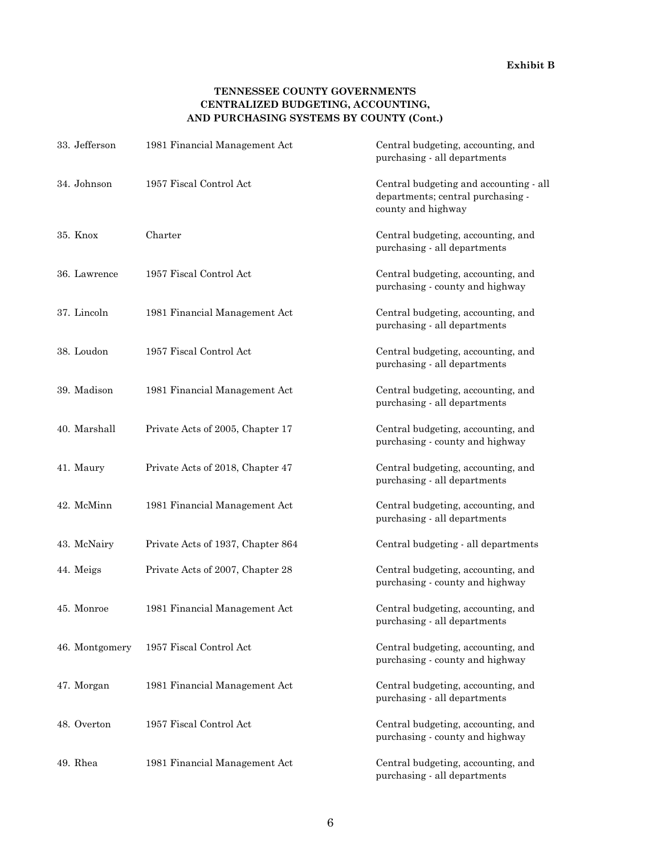#### **Exhibit B**

### **TENNESSEE COUNTY GOVERNMENTS CENTRALIZED BUDGETING, ACCOUNTING, AND PURCHASING SYSTEMS BY COUNTY (Cont.)**

| 33. Jefferson  | 1981 Financial Management Act     | Central budgeting, accounting, and<br>purchasing - all departments                                |
|----------------|-----------------------------------|---------------------------------------------------------------------------------------------------|
| 34. Johnson    | 1957 Fiscal Control Act           | Central budgeting and accounting - all<br>departments; central purchasing -<br>county and highway |
| 35. Knox       | Charter                           | Central budgeting, accounting, and<br>purchasing - all departments                                |
| 36. Lawrence   | 1957 Fiscal Control Act           | Central budgeting, accounting, and<br>purchasing - county and highway                             |
| 37. Lincoln    | 1981 Financial Management Act     | Central budgeting, accounting, and<br>purchasing - all departments                                |
| 38. Loudon     | 1957 Fiscal Control Act           | Central budgeting, accounting, and<br>purchasing - all departments                                |
| 39. Madison    | 1981 Financial Management Act     | Central budgeting, accounting, and<br>purchasing - all departments                                |
| 40. Marshall   | Private Acts of 2005, Chapter 17  | Central budgeting, accounting, and<br>purchasing - county and highway                             |
| 41. Maury      | Private Acts of 2018, Chapter 47  | Central budgeting, accounting, and<br>purchasing - all departments                                |
| 42. McMinn     | 1981 Financial Management Act     | Central budgeting, accounting, and<br>purchasing - all departments                                |
| 43. McNairy    | Private Acts of 1937, Chapter 864 | Central budgeting - all departments                                                               |
| 44. Meigs      | Private Acts of 2007, Chapter 28  | Central budgeting, accounting, and<br>purchasing - county and highway                             |
| 45. Monroe     | 1981 Financial Management Act     | Central budgeting, accounting, and<br>purchasing - all departments                                |
| 46. Montgomery | 1957 Fiscal Control Act           | Central budgeting, accounting, and<br>purchasing - county and highway                             |
| 47. Morgan     | 1981 Financial Management Act     | Central budgeting, accounting, and<br>purchasing - all departments                                |
| 48. Overton    | 1957 Fiscal Control Act           | Central budgeting, accounting, and<br>purchasing - county and highway                             |
| 49. Rhea       | 1981 Financial Management Act     | Central budgeting, accounting, and<br>purchasing - all departments                                |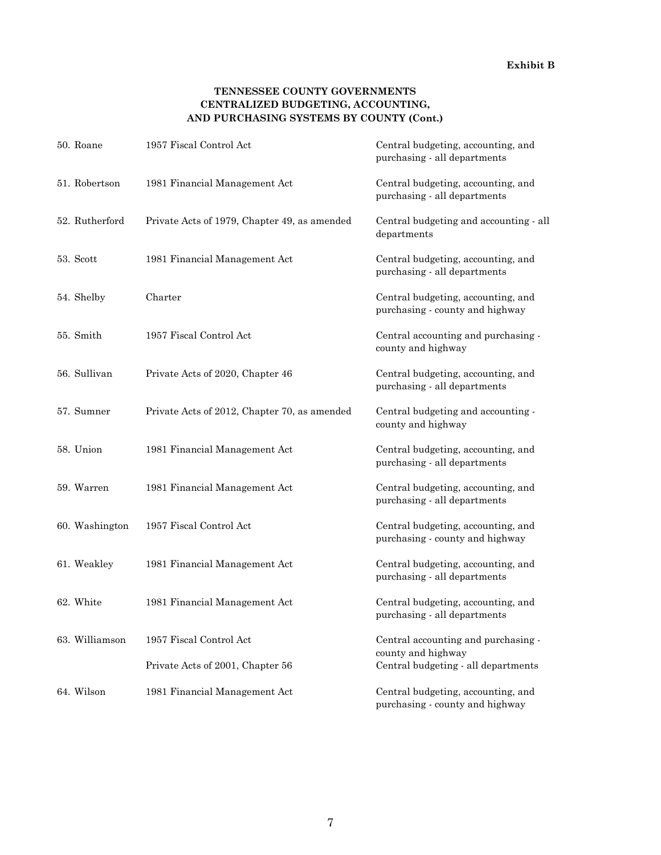#### **Exhibit B**

### **TENNESSEE COUNTY GOVERNMENTS CENTRALIZED BUDGETING, ACCOUNTING, AND PURCHASING SYSTEMS BY COUNTY (Cont.)**

| 50. Roane      | 1957 Fiscal Control Act                      | Central budgeting, accounting, and<br>purchasing - all departments    |
|----------------|----------------------------------------------|-----------------------------------------------------------------------|
| 51. Robertson  | 1981 Financial Management Act                | Central budgeting, accounting, and<br>purchasing - all departments    |
| 52. Rutherford | Private Acts of 1979, Chapter 49, as amended | Central budgeting and accounting - all<br>departments                 |
| 53. Scott      | 1981 Financial Management Act                | Central budgeting, accounting, and<br>purchasing - all departments    |
| 54. Shelby     | Charter                                      | Central budgeting, accounting, and<br>purchasing - county and highway |
| 55. Smith      | 1957 Fiscal Control Act                      | Central accounting and purchasing -<br>county and highway             |
| 56. Sullivan   | Private Acts of 2020, Chapter 46             | Central budgeting, accounting, and<br>purchasing - all departments    |
| 57. Sumner     | Private Acts of 2012, Chapter 70, as amended | Central budgeting and accounting -<br>county and highway              |
| 58. Union      | 1981 Financial Management Act                | Central budgeting, accounting, and<br>purchasing - all departments    |
| 59. Warren     | 1981 Financial Management Act                | Central budgeting, accounting, and<br>purchasing - all departments    |
| 60. Washington | 1957 Fiscal Control Act                      | Central budgeting, accounting, and<br>purchasing - county and highway |
| 61. Weakley    | 1981 Financial Management Act                | Central budgeting, accounting, and<br>purchasing - all departments    |
| 62. White      | 1981 Financial Management Act                | Central budgeting, accounting, and<br>purchasing - all departments    |
| 63. Williamson | 1957 Fiscal Control Act                      | Central accounting and purchasing -<br>county and highway             |
|                | Private Acts of 2001, Chapter 56             | Central budgeting - all departments                                   |
| 64. Wilson     | 1981 Financial Management Act                | Central budgeting, accounting, and<br>purchasing - county and highway |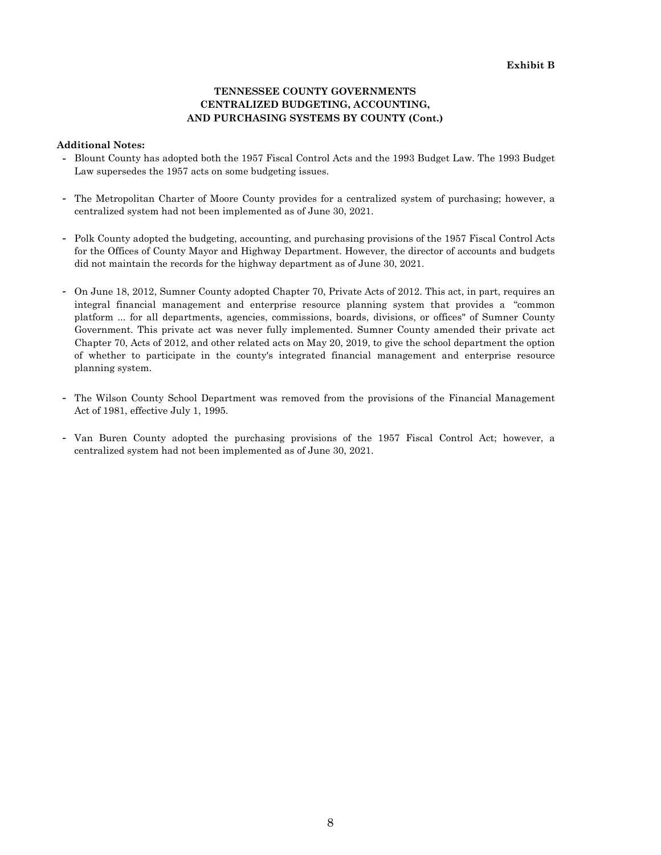#### **TENNESSEE COUNTY GOVERNMENTS CENTRALIZED BUDGETING, ACCOUNTING, AND PURCHASING SYSTEMS BY COUNTY (Cont.)**

#### **Additional Notes:**

- **-** Blount County has adopted both the 1957 Fiscal Control Acts and the 1993 Budget Law. The 1993 Budget Law supersedes the 1957 acts on some budgeting issues.
- **-** The Metropolitan Charter of Moore County provides for a centralized system of purchasing; however, a centralized system had not been implemented as of June 30, 2021.
- **-** Polk County adopted the budgeting, accounting, and purchasing provisions of the 1957 Fiscal Control Acts for the Offices of County Mayor and Highway Department. However, the director of accounts and budgets did not maintain the records for the highway department as of June 30, 2021.
- **-** On June 18, 2012, Sumner County adopted Chapter 70, Private Acts of 2012. This act, in part, requires an integral financial management and enterprise resource planning system that provides a "common platform ... for all departments, agencies, commissions, boards, divisions, or offices" of Sumner County Government. This private act was never fully implemented. Sumner County amended their private act Chapter 70, Acts of 2012, and other related acts on May 20, 2019, to give the school department the option of whether to participate in the county's integrated financial management and enterprise resource planning system.
- **-** The Wilson County School Department was removed from the provisions of the Financial Management Act of 1981, effective July 1, 1995.
- **-** Van Buren County adopted the purchasing provisions of the 1957 Fiscal Control Act; however, a centralized system had not been implemented as of June 30, 2021.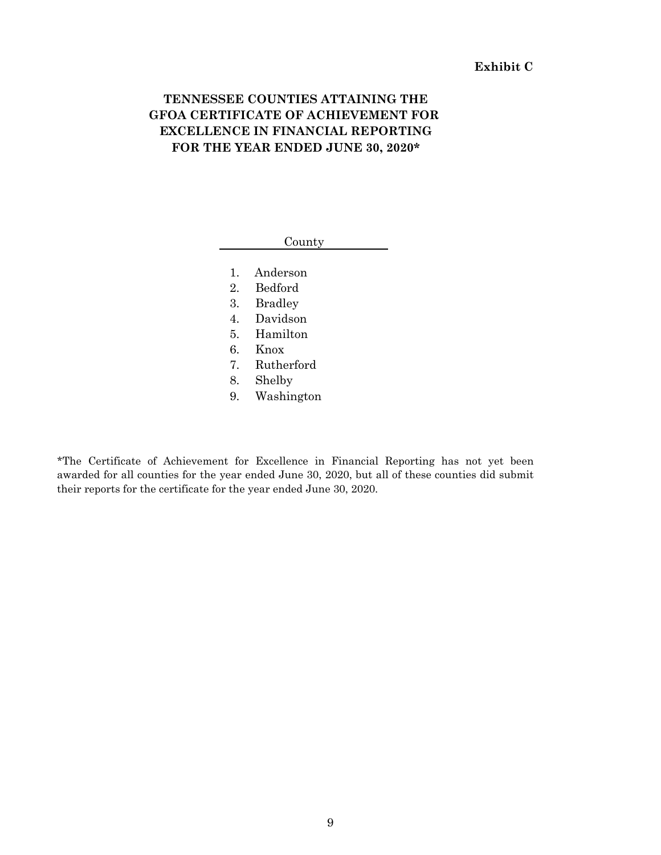## **Exhibit C**

# **TENNESSEE COUNTIES ATTAINING THE GFOA CERTIFICATE OF ACHIEVEMENT FOR EXCELLENCE IN FINANCIAL REPORTING FOR THE YEAR ENDED JUNE 30, 2020\***

#### County

- 1. Anderson
- 2. Bedford
- 3. Bradley
- 4. Davidson
- 5. Hamilton
- 6. Knox
- 7. Rutherford
- 8. Shelby
- 9. Washington

\*The Certificate of Achievement for Excellence in Financial Reporting has not yet been awarded for all counties for the year ended June 30, 2020, but all of these counties did submit their reports for the certificate for the year ended June 30, 2020.